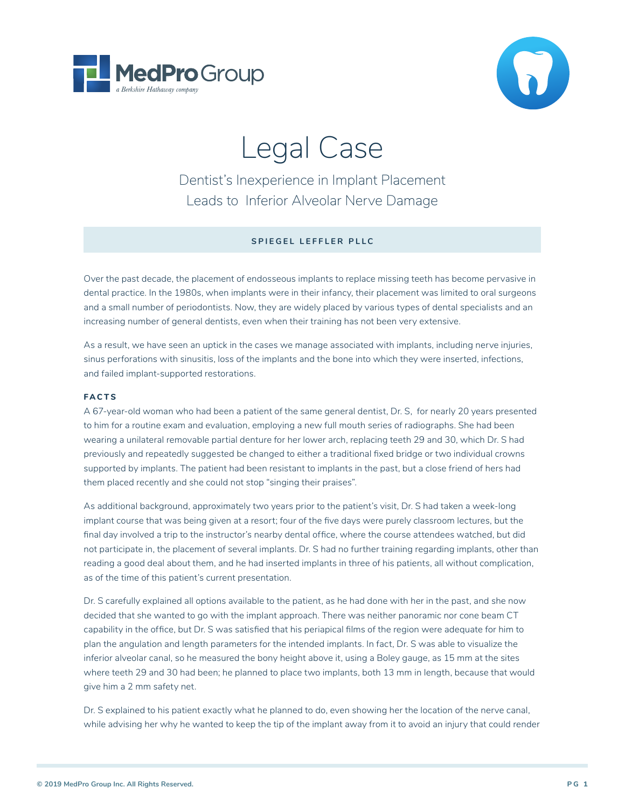



# Legal Case

Dentist's Inexperience in Implant Placement Leads to Inferior Alveolar Nerve Damage

### **SPIEGEL LEFFLER PLLC**

Over the past decade, the placement of endosseous implants to replace missing teeth has become pervasive in dental practice. In the 1980s, when implants were in their infancy, their placement was limited to oral surgeons and a small number of periodontists. Now, they are widely placed by various types of dental specialists and an increasing number of general dentists, even when their training has not been very extensive.

As a result, we have seen an uptick in the cases we manage associated with implants, including nerve injuries, sinus perforations with sinusitis, loss of the implants and the bone into which they were inserted, infections, and failed implant-supported restorations.

#### **FACTS**

A 67-year-old woman who had been a patient of the same general dentist, Dr. S, for nearly 20 years presented to him for a routine exam and evaluation, employing a new full mouth series of radiographs. She had been wearing a unilateral removable partial denture for her lower arch, replacing teeth 29 and 30, which Dr. S had previously and repeatedly suggested be changed to either a traditional fixed bridge or two individual crowns supported by implants. The patient had been resistant to implants in the past, but a close friend of hers had them placed recently and she could not stop "singing their praises".

As additional background, approximately two years prior to the patient's visit, Dr. S had taken a week-long implant course that was being given at a resort; four of the five days were purely classroom lectures, but the final day involved a trip to the instructor's nearby dental office, where the course attendees watched, but did not participate in, the placement of several implants. Dr. S had no further training regarding implants, other than reading a good deal about them, and he had inserted implants in three of his patients, all without complication, as of the time of this patient's current presentation.

Dr. S carefully explained all options available to the patient, as he had done with her in the past, and she now decided that she wanted to go with the implant approach. There was neither panoramic nor cone beam CT capability in the office, but Dr. S was satisfied that his periapical films of the region were adequate for him to plan the angulation and length parameters for the intended implants. In fact, Dr. S was able to visualize the inferior alveolar canal, so he measured the bony height above it, using a Boley gauge, as 15 mm at the sites where teeth 29 and 30 had been; he planned to place two implants, both 13 mm in length, because that would give him a 2 mm safety net.

Dr. S explained to his patient exactly what he planned to do, even showing her the location of the nerve canal, while advising her why he wanted to keep the tip of the implant away from it to avoid an injury that could render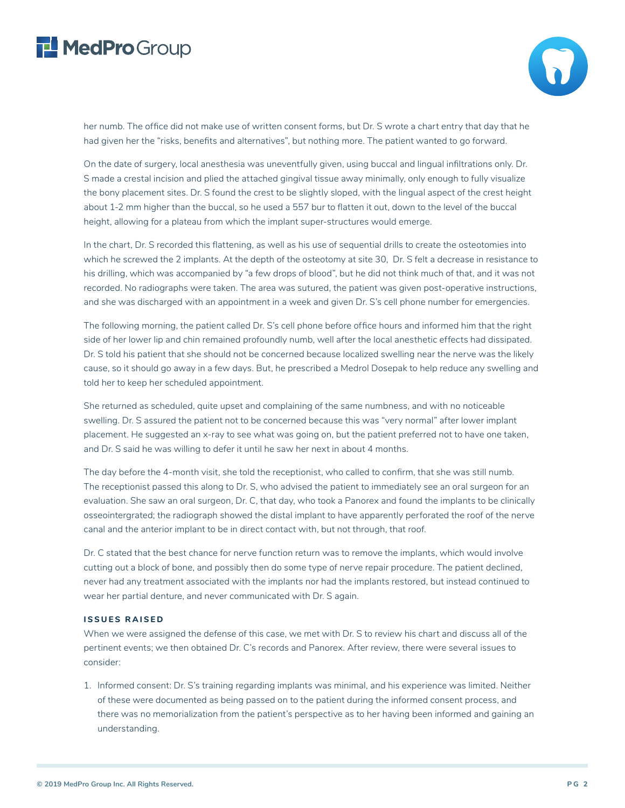## MedProGroup



her numb. The office did not make use of written consent forms, but Dr. S wrote a chart entry that day that he had given her the "risks, benefits and alternatives", but nothing more. The patient wanted to go forward.

On the date of surgery, local anesthesia was uneventfully given, using buccal and lingual infiltrations only. Dr. S made a crestal incision and plied the attached gingival tissue away minimally, only enough to fully visualize the bony placement sites. Dr. S found the crest to be slightly sloped, with the lingual aspect of the crest height about 1-2 mm higher than the buccal, so he used a 557 bur to flatten it out, down to the level of the buccal height, allowing for a plateau from which the implant super-structures would emerge.

In the chart, Dr. S recorded this flattening, as well as his use of sequential drills to create the osteotomies into which he screwed the 2 implants. At the depth of the osteotomy at site 30, Dr. S felt a decrease in resistance to his drilling, which was accompanied by "a few drops of blood", but he did not think much of that, and it was not recorded. No radiographs were taken. The area was sutured, the patient was given post-operative instructions, and she was discharged with an appointment in a week and given Dr. S's cell phone number for emergencies.

The following morning, the patient called Dr. S's cell phone before office hours and informed him that the right side of her lower lip and chin remained profoundly numb, well after the local anesthetic effects had dissipated. Dr. S told his patient that she should not be concerned because localized swelling near the nerve was the likely cause, so it should go away in a few days. But, he prescribed a Medrol Dosepak to help reduce any swelling and told her to keep her scheduled appointment.

She returned as scheduled, quite upset and complaining of the same numbness, and with no noticeable swelling. Dr. S assured the patient not to be concerned because this was "very normal" after lower implant placement. He suggested an x-ray to see what was going on, but the patient preferred not to have one taken, and Dr. S said he was willing to defer it until he saw her next in about 4 months.

The day before the 4-month visit, she told the receptionist, who called to confirm, that she was still numb. The receptionist passed this along to Dr. S, who advised the patient to immediately see an oral surgeon for an evaluation. She saw an oral surgeon, Dr. C, that day, who took a Panorex and found the implants to be clinically osseointergrated; the radiograph showed the distal implant to have apparently perforated the roof of the nerve canal and the anterior implant to be in direct contact with, but not through, that roof.

Dr. C stated that the best chance for nerve function return was to remove the implants, which would involve cutting out a block of bone, and possibly then do some type of nerve repair procedure. The patient declined, never had any treatment associated with the implants nor had the implants restored, but instead continued to wear her partial denture, and never communicated with Dr. S again.

#### **ISSUES RAISED**

When we were assigned the defense of this case, we met with Dr. S to review his chart and discuss all of the pertinent events; we then obtained Dr. C's records and Panorex. After review, there were several issues to consider:

1. Informed consent: Dr. S's training regarding implants was minimal, and his experience was limited. Neither of these were documented as being passed on to the patient during the informed consent process, and there was no memorialization from the patient's perspective as to her having been informed and gaining an understanding.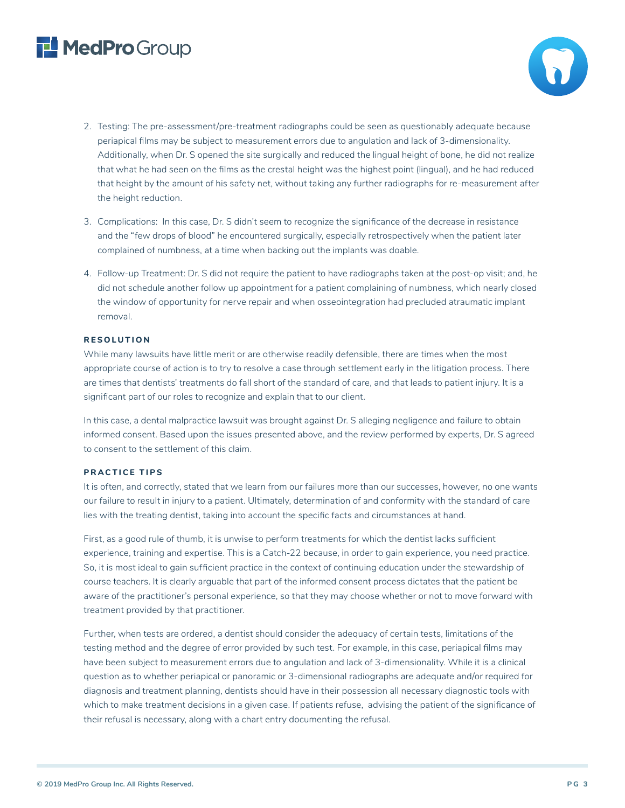## MedProGroup

- 2. Testing: The pre-assessment/pre-treatment radiographs could be seen as questionably adequate because periapical films may be subject to measurement errors due to angulation and lack of 3-dimensionality. Additionally, when Dr. S opened the site surgically and reduced the lingual height of bone, he did not realize that what he had seen on the films as the crestal height was the highest point (lingual), and he had reduced that height by the amount of his safety net, without taking any further radiographs for re-measurement after the height reduction.
- 3. Complications: In this case, Dr. S didn't seem to recognize the significance of the decrease in resistance and the "few drops of blood" he encountered surgically, especially retrospectively when the patient later complained of numbness, at a time when backing out the implants was doable.
- 4. Follow-up Treatment: Dr. S did not require the patient to have radiographs taken at the post-op visit; and, he did not schedule another follow up appointment for a patient complaining of numbness, which nearly closed the window of opportunity for nerve repair and when osseointegration had precluded atraumatic implant removal.

### **RESOLUTION**

While many lawsuits have little merit or are otherwise readily defensible, there are times when the most appropriate course of action is to try to resolve a case through settlement early in the litigation process. There are times that dentists' treatments do fall short of the standard of care, and that leads to patient injury. It is a significant part of our roles to recognize and explain that to our client.

In this case, a dental malpractice lawsuit was brought against Dr. S alleging negligence and failure to obtain informed consent. Based upon the issues presented above, and the review performed by experts, Dr. S agreed to consent to the settlement of this claim.

### **PRACTICE TIPS**

It is often, and correctly, stated that we learn from our failures more than our successes, however, no one wants our failure to result in injury to a patient. Ultimately, determination of and conformity with the standard of care lies with the treating dentist, taking into account the specific facts and circumstances at hand.

First, as a good rule of thumb, it is unwise to perform treatments for which the dentist lacks sufficient experience, training and expertise. This is a Catch-22 because, in order to gain experience, you need practice. So, it is most ideal to gain sufficient practice in the context of continuing education under the stewardship of course teachers. It is clearly arguable that part of the informed consent process dictates that the patient be aware of the practitioner's personal experience, so that they may choose whether or not to move forward with treatment provided by that practitioner.

Further, when tests are ordered, a dentist should consider the adequacy of certain tests, limitations of the testing method and the degree of error provided by such test. For example, in this case, periapical films may have been subject to measurement errors due to angulation and lack of 3-dimensionality. While it is a clinical question as to whether periapical or panoramic or 3-dimensional radiographs are adequate and/or required for diagnosis and treatment planning, dentists should have in their possession all necessary diagnostic tools with which to make treatment decisions in a given case. If patients refuse, advising the patient of the significance of their refusal is necessary, along with a chart entry documenting the refusal.